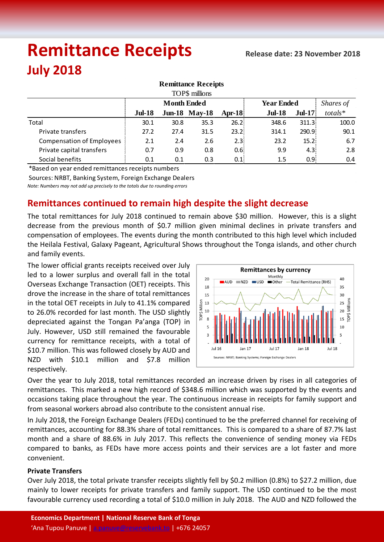# **Remittance Receipts July 2018**

| <b>Remittance Receipts</b><br>TOP\$ millions |               |      |                      |            |               |          |           |  |  |  |  |  |
|----------------------------------------------|---------------|------|----------------------|------------|---------------|----------|-----------|--|--|--|--|--|
|                                              |               |      |                      |            |               |          |           |  |  |  |  |  |
|                                              | <b>Jul-18</b> |      | <b>Jun-18 May-18</b> | Apr-18 $ $ | <b>Jul-18</b> | $Jul-17$ | $totals*$ |  |  |  |  |  |
| Total                                        | 30.1          | 30.8 | 35.3                 | 26.2       | 348.6         | 311.3    | 100.0     |  |  |  |  |  |
| Private transfers                            | 27.2          | 27.4 | 31.5                 | 23.2       | 314.1         | 290.9    | 90.1      |  |  |  |  |  |
| <b>Compensation of Employees</b>             | 2.1           | 2.4  | 2.6                  | 2.3        | 23.2          | 15.2     | 6.7       |  |  |  |  |  |
| Private capital transfers                    | 0.7           | 0.9  | 0.8                  | 0.6        | 9.9           | 4.3      | 2.8       |  |  |  |  |  |
| Social benefits                              | 0.1           | 0.1  | 0.3                  | 0.1        | $1.5\,$       | 0.9      | 0.4       |  |  |  |  |  |

\*Based on year ended remittances receipts numbers

Sources: NRBT, Banking System, Foreign Exchange Dealers

*Note: Numbers may not add up precisely to the totals due to rounding errors*

## **Remittances continued to remain high despite the slight decrease**

The total remittances for July 2018 continued to remain above \$30 million. However, this is a slight decrease from the previous month of \$0.7 million given minimal declines in private transfers and compensation of employees. The events during the month contributed to this high level which included the Heilala Festival, Galaxy Pageant, Agricultural Shows throughout the Tonga islands, and other church and family events.

The lower official grants receipts received over July led to a lower surplus and overall fall in the total Overseas Exchange Transaction (OET) receipts. This drove the increase in the share of total remittances in the total OET receipts in July to 41.1% compared to 26.0% recorded for last month. The USD slightly depreciated against the Tongan Pa'anga (TOP) in July. However, USD still remained the favourable currency for remittance receipts, with a total of \$10.7 million. This was followed closely by AUD and NZD with \$10.1 million and \$7.8 million respectively.



Over the year to July 2018, total remittances recorded an increase driven by rises in all categories of remittances. This marked a new high record of \$348.6 million which was supported by the events and occasions taking place throughout the year. The continuous increase in receipts for family support and from seasonal workers abroad also contribute to the consistent annual rise.

In July 2018, the Foreign Exchange Dealers (FEDs) continued to be the preferred channel for receiving of remittances, accounting for 88.3% share of total remittances. This is compared to a share of 87.7% last month and a share of 88.6% in July 2017. This reflects the convenience of sending money via FEDs compared to banks, as FEDs have more access points and their services are a lot faster and more convenient.

### **Private Transfers**

Over July 2018, the total private transfer receipts slightly fell by \$0.2 million (0.8%) to \$27.2 million, due mainly to lower receipts for private transfers and family support. The USD continued to be the most favourable currency used recording a total of \$10.0 million in July 2018. The AUD and NZD followed the